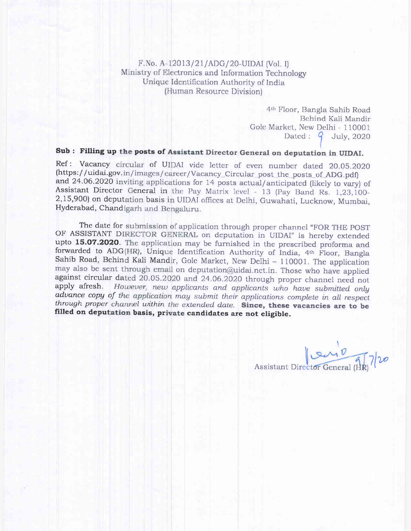F.No. A-12013/21/ADG/20-UIDAI (Vol. I) Ministry of Electronics and Information Technology Unique Identification Authority of India (Human Resource Division)

> 4th Floor, Bangla Sahib Road Behind Kali Mandir Gole Market, New Delhi - 110001 Dated:  $9$  July, 2020

## Sub: Filling up the posts of Assistant Director General on deputation in UIDAI.

Ref: Vacancy circular of UIDAI vide letter of even number dated 20.05.2020 (https://uidai.gov.in/images/career/Vacancy\_Circular\_post\_the\_posts\_of\_ADG.pdf) and 24.06.2020 inviting applications for 14 posts actual/anticipated (likely to vary) of Assistant Director General in the Pay Matrix level - 13 (Pay Band Rs. 1,23,100-2,15,900) on deputation basis in UIDAI offices at Delhi, Guwahati, Lucknow, Mumbai, Hyderabad, Chandigarh and Bengaluru.

The date for submission of application through proper channel "FOR THE POST OF ASSISTANT DIRECTOR GENERAL on deputation in UIDAI" is hereby extended upto 15.07.2020. The application may be furnished in the prescribed proforma and forwarded to ADG(HR), Unique Identification Authority of India, 4th Floor, Bangla Sahib Road, Behind Kali Mandir, Gole Market, New Delhi - 110001. The application may also be sent through email on deputation@uidai.net.in. Those who have applied against circular dated 20.05.2020 and 24.06.2020 through proper channel need not apply afresh. However, new applicants and applicants who have submitted only advance copy of the application may submit their applications complete in all respect through proper channel within the extended date. Since, these vacancies are to be filled on deputation basis, private candidates are not eligible.

Assistant Director General (AR) 7/20